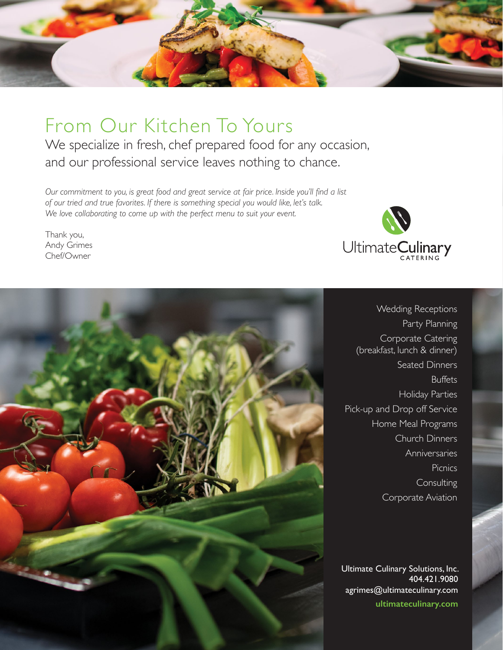

# From Our Kitchen To Yours

We specialize in fresh, chef prepared food for any occasion, and our professional service leaves nothing to chance.

*Our commitment to you, is great food and great service at fair price. Inside you'll find a list of our tried and true favorites. If there is something special you would like, let's talk. We love collaborating to come up with the perfect menu to suit your event.* 

Thank you, Andy Grimes Chef/Owner





Wedding Receptions Party Planning Corporate Catering (breakfast, lunch & dinner) Seated Dinners Buffets Holiday Parties Pick-up and Drop off Service Home Meal Programs Church Dinners Anniversaries Picnics **Consulting** Corporate Aviation

Ultimate Culinary Solutions, Inc. 404.421.9080 agrimes@ultimateculinary.com **ultimateculinary.com**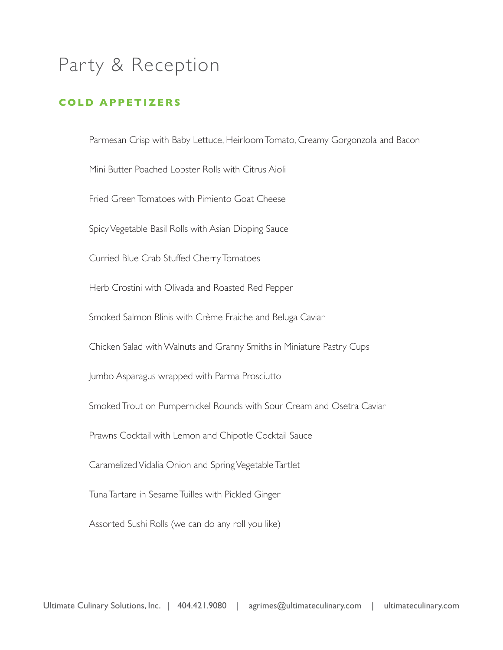#### **COLD APPETIZERS**

Parmesan Crisp with Baby Lettuce, Heirloom Tomato, Creamy Gorgonzola and Bacon Mini Butter Poached Lobster Rolls with Citrus Aioli Fried Green Tomatoes with Pimiento Goat Cheese Spicy Vegetable Basil Rolls with Asian Dipping Sauce Curried Blue Crab Stuffed Cherry Tomatoes Herb Crostini with Olivada and Roasted Red Pepper Smoked Salmon Blinis with Crème Fraiche and Beluga Caviar Chicken Salad with Walnuts and Granny Smiths in Miniature Pastry Cups Jumbo Asparagus wrapped with Parma Prosciutto Smoked Trout on Pumpernickel Rounds with Sour Cream and Osetra Caviar Prawns Cocktail with Lemon and Chipotle Cocktail Sauce Caramelized Vidalia Onion and Spring Vegetable Tartlet Tuna Tartare in Sesame Tuilles with Pickled Ginger Assorted Sushi Rolls (we can do any roll you like)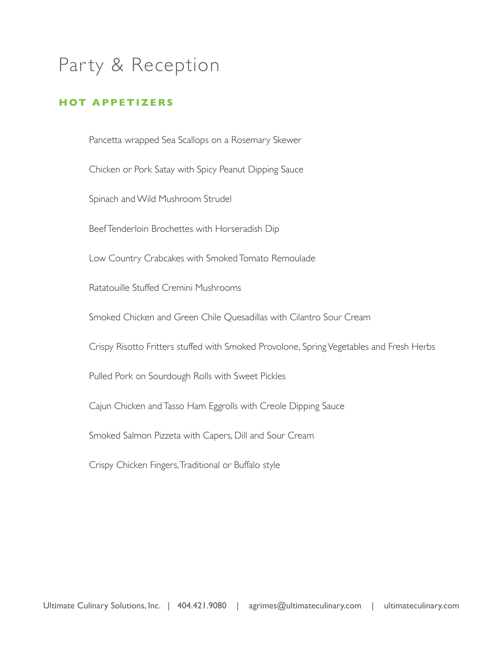#### **HOT APPETIZERS**

Pancetta wrapped Sea Scallops on a Rosemary Skewer

Chicken or Pork Satay with Spicy Peanut Dipping Sauce

Spinach and Wild Mushroom Strudel

Beef Tenderloin Brochettes with Horseradish Dip

Low Country Crabcakes with Smoked Tomato Remoulade

Ratatouille Stuffed Cremini Mushrooms

Smoked Chicken and Green Chile Quesadillas with Cilantro Sour Cream

Crispy Risotto Fritters stuffed with Smoked Provolone, Spring Vegetables and Fresh Herbs

Pulled Pork on Sourdough Rolls with Sweet Pickles

Cajun Chicken and Tasso Ham Eggrolls with Creole Dipping Sauce

Smoked Salmon Pizzeta with Capers, Dill and Sour Cream

Crispy Chicken Fingers, Traditional or Buffalo style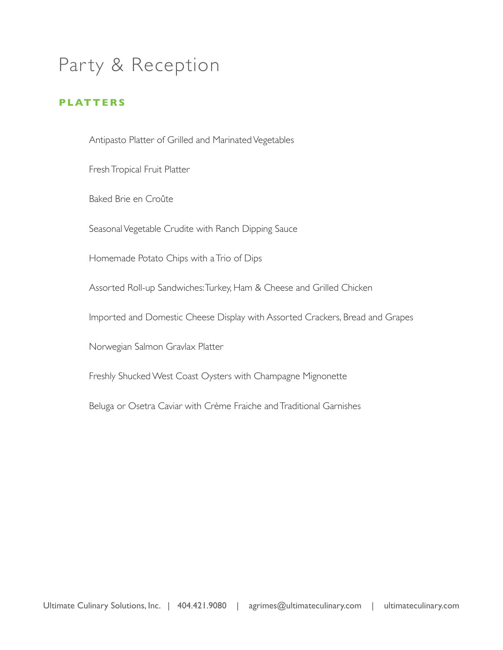#### **PLATTERS**

Antipasto Platter of Grilled and Marinated Vegetables

Fresh Tropical Fruit Platter

Baked Brie en Croûte

Seasonal Vegetable Crudite with Ranch Dipping Sauce

Homemade Potato Chips with a Trio of Dips

Assorted Roll-up Sandwiches: Turkey, Ham & Cheese and Grilled Chicken

Imported and Domestic Cheese Display with Assorted Crackers, Bread and Grapes

Norwegian Salmon Gravlax Platter

Freshly Shucked West Coast Oysters with Champagne Mignonette

Beluga or Osetra Caviar with Crème Fraiche and Traditional Garnishes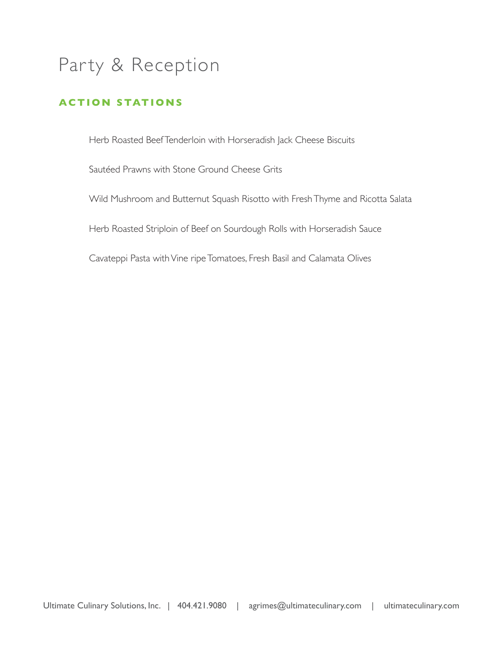### **ACTION STATIONS**

Herb Roasted Beef Tenderloin with Horseradish Jack Cheese Biscuits

Sautéed Prawns with Stone Ground Cheese Grits

Wild Mushroom and Butternut Squash Risotto with Fresh Thyme and Ricotta Salata

Herb Roasted Striploin of Beef on Sourdough Rolls with Horseradish Sauce

Cavateppi Pasta with Vine ripe Tomatoes, Fresh Basil and Calamata Olives